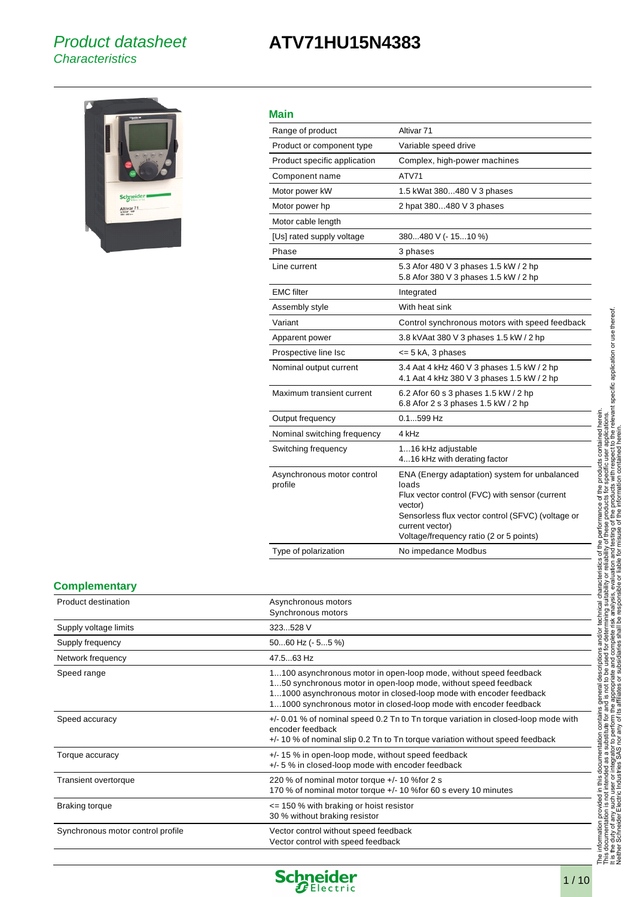## Product datasheet **Characteristics**

## **ATV71HU15N4383**



## **Main**

| ,,,,,,                                |                                                                                                                                                                                                                                        |
|---------------------------------------|----------------------------------------------------------------------------------------------------------------------------------------------------------------------------------------------------------------------------------------|
| Range of product                      | Altivar <sub>71</sub>                                                                                                                                                                                                                  |
| Product or component type             | Variable speed drive                                                                                                                                                                                                                   |
| Product specific application          | Complex, high-power machines                                                                                                                                                                                                           |
| Component name                        | ATV71                                                                                                                                                                                                                                  |
| Motor power kW                        | 1.5 kWat 380480 V 3 phases                                                                                                                                                                                                             |
| Motor power hp                        | 2 hpat 380480 V 3 phases                                                                                                                                                                                                               |
| Motor cable length                    |                                                                                                                                                                                                                                        |
| [Us] rated supply voltage             | 380480 V (- 1510 %)                                                                                                                                                                                                                    |
| Phase                                 | 3 phases                                                                                                                                                                                                                               |
| Line current                          | 5.3 Afor 480 V 3 phases 1.5 kW / 2 hp<br>5.8 Afor 380 V 3 phases 1.5 kW / 2 hp                                                                                                                                                         |
| <b>EMC</b> filter                     | Integrated                                                                                                                                                                                                                             |
| Assembly style                        | With heat sink                                                                                                                                                                                                                         |
| Variant                               | Control synchronous motors with speed feedback                                                                                                                                                                                         |
| Apparent power                        | 3.8 kVAat 380 V 3 phases 1.5 kW / 2 hp                                                                                                                                                                                                 |
| Prospective line Isc                  | <= 5 kA, 3 phases                                                                                                                                                                                                                      |
| Nominal output current                | 3.4 Aat 4 kHz 460 V 3 phases 1.5 kW / 2 hp<br>4.1 Aat 4 kHz 380 V 3 phases 1.5 kW / 2 hp                                                                                                                                               |
| Maximum transient current             | 6.2 Afor 60 s 3 phases 1.5 kW / 2 hp<br>6.8 Afor 2 s 3 phases 1.5 kW / 2 hp                                                                                                                                                            |
| Output frequency                      | $0.1$ 599 Hz                                                                                                                                                                                                                           |
| Nominal switching frequency           | 4 kHz                                                                                                                                                                                                                                  |
| Switching frequency                   | 116 kHz adjustable<br>416 kHz with derating factor                                                                                                                                                                                     |
| Asynchronous motor control<br>profile | ENA (Energy adaptation) system for unbalanced<br>loads<br>Flux vector control (FVC) with sensor (current<br>vector)<br>Sensorless flux vector control (SFVC) (voltage or<br>current vector)<br>Voltage/frequency ratio (2 or 5 points) |
| Type of polarization                  | No impedance Modbus                                                                                                                                                                                                                    |
|                                       |                                                                                                                                                                                                                                        |

#### **Complementary**

| Product destination               | Asynchronous motors<br>Synchronous motors                                                                                                                                                                                                                                       |
|-----------------------------------|---------------------------------------------------------------------------------------------------------------------------------------------------------------------------------------------------------------------------------------------------------------------------------|
| Supply voltage limits             | 323528 V                                                                                                                                                                                                                                                                        |
| Supply frequency                  | $5060$ Hz (- $55$ %)                                                                                                                                                                                                                                                            |
| Network frequency                 | 47.563 Hz                                                                                                                                                                                                                                                                       |
| Speed range                       | 1100 asynchronous motor in open-loop mode, without speed feedback<br>150 synchronous motor in open-loop mode, without speed feedback<br>11000 asynchronous motor in closed-loop mode with encoder feedback<br>11000 synchronous motor in closed-loop mode with encoder feedback |
| Speed accuracy                    | +/- 0.01 % of nominal speed 0.2 Tn to Tn torque variation in closed-loop mode with<br>encoder feedback<br>$+/-$ 10 % of nominal slip 0.2 Tn to Tn torque variation without speed feedback                                                                                       |
| Torque accuracy                   | $+/-$ 15 % in open-loop mode, without speed feedback<br>+/- 5 % in closed-loop mode with encoder feedback                                                                                                                                                                       |
| Transient overtorque              | 220 % of nominal motor torque +/- 10 % for 2 s<br>170 % of nominal motor torque +/- 10 % for 60 s every 10 minutes                                                                                                                                                              |
| <b>Braking torque</b>             | $\le$ 150 % with braking or hoist resistor<br>30 % without braking resistor                                                                                                                                                                                                     |
| Synchronous motor control profile | Vector control without speed feedback<br>Vector control with speed feedback                                                                                                                                                                                                     |

 $\overline{\phantom{a}}$ 

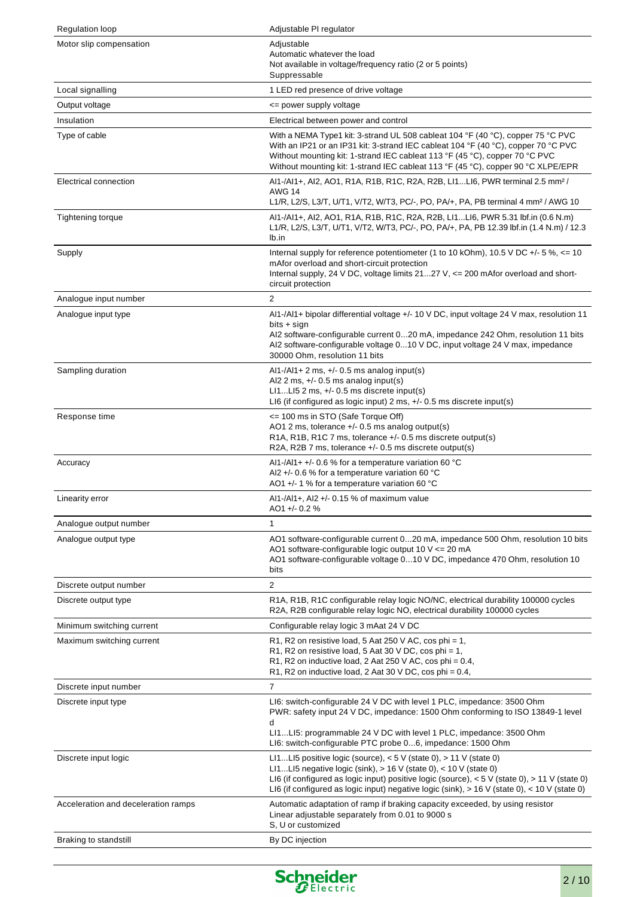| <b>Regulation loop</b>              | Adjustable PI regulator                                                                                                                                                                                                                                                                                                                                |  |  |
|-------------------------------------|--------------------------------------------------------------------------------------------------------------------------------------------------------------------------------------------------------------------------------------------------------------------------------------------------------------------------------------------------------|--|--|
| Motor slip compensation             | Adjustable<br>Automatic whatever the load<br>Not available in voltage/frequency ratio (2 or 5 points)<br>Suppressable                                                                                                                                                                                                                                  |  |  |
| Local signalling                    | 1 LED red presence of drive voltage                                                                                                                                                                                                                                                                                                                    |  |  |
| Output voltage                      | <= power supply voltage                                                                                                                                                                                                                                                                                                                                |  |  |
| Insulation                          | Electrical between power and control                                                                                                                                                                                                                                                                                                                   |  |  |
| Type of cable                       | With a NEMA Type1 kit: 3-strand UL 508 cableat 104 °F (40 °C), copper 75 °C PVC<br>With an IP21 or an IP31 kit: 3-strand IEC cableat 104 °F (40 °C), copper 70 °C PVC<br>Without mounting kit: 1-strand IEC cableat 113 °F (45 °C), copper 70 °C PVC<br>Without mounting kit: 1-strand IEC cableat 113 °F (45 °C), copper 90 °C XLPE/EPR               |  |  |
| Electrical connection               | Al1-/Al1+, Al2, AO1, R1A, R1B, R1C, R2A, R2B, Ll1Ll6, PWR terminal 2.5 mm <sup>2</sup> /<br><b>AWG 14</b><br>L1/R, L2/S, L3/T, U/T1, V/T2, W/T3, PC/-, PO, PA/+, PA, PB terminal 4 mm <sup>2</sup> / AWG 10                                                                                                                                            |  |  |
| Tightening torque                   | Al1-/Al1+, Al2, AO1, R1A, R1B, R1C, R2A, R2B, Ll1Ll6, PWR 5.31 lbf.in (0.6 N.m)<br>L1/R, L2/S, L3/T, U/T1, V/T2, W/T3, PC/-, PO, PA/+, PA, PB 12.39 lbf.in (1.4 N.m) / 12.3<br>lb.in                                                                                                                                                                   |  |  |
| Supply                              | Internal supply for reference potentiometer (1 to 10 kOhm), 10.5 V DC +/- 5 %, $\lt$ = 10<br>mAfor overload and short-circuit protection<br>Internal supply, 24 V DC, voltage limits $2127$ V, $\leq 200$ mAfor overload and short-<br>circuit protection                                                                                              |  |  |
| Analogue input number               | $\overline{2}$                                                                                                                                                                                                                                                                                                                                         |  |  |
| Analogue input type                 | Al1-/Al1+ bipolar differential voltage +/- 10 V DC, input voltage 24 V max, resolution 11<br>bits + sign<br>Al2 software-configurable current 020 mA, impedance 242 Ohm, resolution 11 bits<br>Al2 software-configurable voltage 010 V DC, input voltage 24 V max, impedance<br>30000 Ohm, resolution 11 bits                                          |  |  |
| Sampling duration                   | $AI1$ -/Al1+ 2 ms, +/- 0.5 ms analog input(s)<br>Al2 2 ms, $+/-$ 0.5 ms analog input(s)<br>$LILI52$ ms, $+/-0.5$ ms discrete input(s)<br>LI6 (if configured as logic input) 2 ms, $+/-$ 0.5 ms discrete input(s)                                                                                                                                       |  |  |
| Response time                       | <= 100 ms in STO (Safe Torque Off)<br>AO1 2 ms, tolerance +/- 0.5 ms analog output(s)<br>R1A, R1B, R1C 7 ms, tolerance $+/-$ 0.5 ms discrete output(s)<br>R2A, R2B 7 ms, tolerance +/- 0.5 ms discrete output(s)                                                                                                                                       |  |  |
| Accuracy                            | Al1-/Al1+ +/- 0.6 % for a temperature variation 60 °C<br>Al2 +/- 0.6 % for a temperature variation 60 °C<br>AO1 +/- 1 % for a temperature variation 60 °C                                                                                                                                                                                              |  |  |
| Linearity error                     | Al1-/Al1+, Al2 +/- 0.15 % of maximum value<br>AO1+/-0.2%                                                                                                                                                                                                                                                                                               |  |  |
| Analogue output number              | 1                                                                                                                                                                                                                                                                                                                                                      |  |  |
| Analogue output type                | AO1 software-configurable current 020 mA, impedance 500 Ohm, resolution 10 bits<br>AO1 software-configurable logic output 10 $V \le 20$ mA<br>AO1 software-configurable voltage 010 V DC, impedance 470 Ohm, resolution 10<br>bits                                                                                                                     |  |  |
| Discrete output number              | $\overline{2}$                                                                                                                                                                                                                                                                                                                                         |  |  |
| Discrete output type                | R1A, R1B, R1C configurable relay logic NO/NC, electrical durability 100000 cycles<br>R2A, R2B configurable relay logic NO, electrical durability 100000 cycles                                                                                                                                                                                         |  |  |
| Minimum switching current           | Configurable relay logic 3 mAat 24 V DC                                                                                                                                                                                                                                                                                                                |  |  |
| Maximum switching current           | R1, R2 on resistive load, 5 Aat 250 V AC, cos phi = 1,<br>R1, R2 on resistive load, 5 Aat 30 V DC, cos phi = 1,<br>R1, R2 on inductive load, 2 Aat 250 V AC, cos phi = 0.4,<br>R1, R2 on inductive load, 2 Aat 30 V DC, cos phi = $0.4$ ,                                                                                                              |  |  |
| Discrete input number               | $\overline{7}$                                                                                                                                                                                                                                                                                                                                         |  |  |
| Discrete input type                 | LI6: switch-configurable 24 V DC with level 1 PLC, impedance: 3500 Ohm<br>PWR: safety input 24 V DC, impedance: 1500 Ohm conforming to ISO 13849-1 level<br>d                                                                                                                                                                                          |  |  |
|                                     | LI1LI5: programmable 24 V DC with level 1 PLC, impedance: 3500 Ohm<br>LI6: switch-configurable PTC probe 06, impedance: 1500 Ohm                                                                                                                                                                                                                       |  |  |
| Discrete input logic                | LI1LI5 positive logic (source), $<$ 5 V (state 0), $>$ 11 V (state 0)<br>L11LI5 negative logic (sink), $> 16$ V (state 0), $< 10$ V (state 0)<br>LI6 (if configured as logic input) positive logic (source), $<$ 5 V (state 0), $>$ 11 V (state 0)<br>LI6 (if configured as logic input) negative logic (sink), $> 16$ V (state 0), $< 10$ V (state 0) |  |  |
| Acceleration and deceleration ramps | Automatic adaptation of ramp if braking capacity exceeded, by using resistor<br>Linear adjustable separately from 0.01 to 9000 s<br>S, U or customized                                                                                                                                                                                                 |  |  |
| Braking to standstill               | By DC injection                                                                                                                                                                                                                                                                                                                                        |  |  |

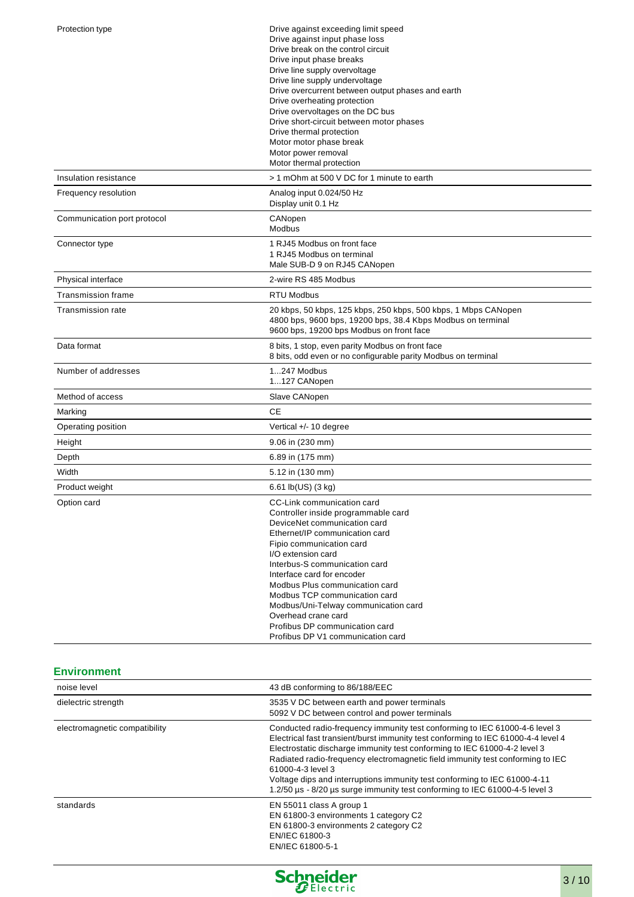| Protection type             | Drive against exceeding limit speed<br>Drive against input phase loss<br>Drive break on the control circuit<br>Drive input phase breaks<br>Drive line supply overvoltage<br>Drive line supply undervoltage<br>Drive overcurrent between output phases and earth<br>Drive overheating protection<br>Drive overvoltages on the DC bus<br>Drive short-circuit between motor phases<br>Drive thermal protection<br>Motor motor phase break<br>Motor power removal<br>Motor thermal protection |
|-----------------------------|-------------------------------------------------------------------------------------------------------------------------------------------------------------------------------------------------------------------------------------------------------------------------------------------------------------------------------------------------------------------------------------------------------------------------------------------------------------------------------------------|
| Insulation resistance       | > 1 mOhm at 500 V DC for 1 minute to earth                                                                                                                                                                                                                                                                                                                                                                                                                                                |
| Frequency resolution        | Analog input 0.024/50 Hz<br>Display unit 0.1 Hz                                                                                                                                                                                                                                                                                                                                                                                                                                           |
| Communication port protocol | CANopen<br><b>Modbus</b>                                                                                                                                                                                                                                                                                                                                                                                                                                                                  |
| Connector type              | 1 RJ45 Modbus on front face<br>1 RJ45 Modbus on terminal<br>Male SUB-D 9 on RJ45 CANopen                                                                                                                                                                                                                                                                                                                                                                                                  |
| Physical interface          | 2-wire RS 485 Modbus                                                                                                                                                                                                                                                                                                                                                                                                                                                                      |
| Transmission frame          | <b>RTU Modbus</b>                                                                                                                                                                                                                                                                                                                                                                                                                                                                         |
| <b>Transmission rate</b>    | 20 kbps, 50 kbps, 125 kbps, 250 kbps, 500 kbps, 1 Mbps CANopen<br>4800 bps, 9600 bps, 19200 bps, 38.4 Kbps Modbus on terminal<br>9600 bps, 19200 bps Modbus on front face                                                                                                                                                                                                                                                                                                                 |
| Data format                 | 8 bits, 1 stop, even parity Modbus on front face<br>8 bits, odd even or no configurable parity Modbus on terminal                                                                                                                                                                                                                                                                                                                                                                         |
| Number of addresses         | 1247 Modbus<br>1127 CANopen                                                                                                                                                                                                                                                                                                                                                                                                                                                               |
| Method of access            | Slave CANopen                                                                                                                                                                                                                                                                                                                                                                                                                                                                             |
| Marking                     | <b>CE</b>                                                                                                                                                                                                                                                                                                                                                                                                                                                                                 |
| Operating position          | Vertical +/- 10 degree                                                                                                                                                                                                                                                                                                                                                                                                                                                                    |
| Height                      | 9.06 in (230 mm)                                                                                                                                                                                                                                                                                                                                                                                                                                                                          |
| Depth                       | 6.89 in (175 mm)                                                                                                                                                                                                                                                                                                                                                                                                                                                                          |
| Width                       | 5.12 in (130 mm)                                                                                                                                                                                                                                                                                                                                                                                                                                                                          |
| Product weight              | $6.61$ lb(US) $(3 \text{ kg})$                                                                                                                                                                                                                                                                                                                                                                                                                                                            |
| Option card                 | CC-Link communication card<br>Controller inside programmable card<br>DeviceNet communication card<br>Ethernet/IP communication card<br>Fipio communication card<br>I/O extension card<br>Interbus-S communication card<br>Interface card for encoder<br>Modbus Plus communication card<br>Modbus TCP communication card<br>Modbus/Uni-Telway communication card<br>Overhead crane card<br>Profibus DP communication card<br>Profibus DP V1 communication card                             |

## **Environment**

| 43 dB conforming to 86/188/EEC<br>noise level |                                                                                                                                                                                                                                                                                                                                                                                                                                                                                                                  |  |  |
|-----------------------------------------------|------------------------------------------------------------------------------------------------------------------------------------------------------------------------------------------------------------------------------------------------------------------------------------------------------------------------------------------------------------------------------------------------------------------------------------------------------------------------------------------------------------------|--|--|
| dielectric strength                           | 3535 V DC between earth and power terminals<br>5092 V DC between control and power terminals                                                                                                                                                                                                                                                                                                                                                                                                                     |  |  |
| electromagnetic compatibility                 | Conducted radio-frequency immunity test conforming to IEC 61000-4-6 level 3<br>Electrical fast transient/burst immunity test conforming to IEC 61000-4-4 level 4<br>Electrostatic discharge immunity test conforming to IEC 61000-4-2 level 3<br>Radiated radio-frequency electromagnetic field immunity test conforming to IEC<br>61000-4-3 level 3<br>Voltage dips and interruptions immunity test conforming to IEC 61000-4-11<br>1.2/50 µs - 8/20 µs surge immunity test conforming to IEC 61000-4-5 level 3 |  |  |
| standards                                     | EN 55011 class A group 1<br>EN 61800-3 environments 1 category C2<br>EN 61800-3 environments 2 category C2<br>EN/IEC 61800-3<br>EN/IEC 61800-5-1                                                                                                                                                                                                                                                                                                                                                                 |  |  |

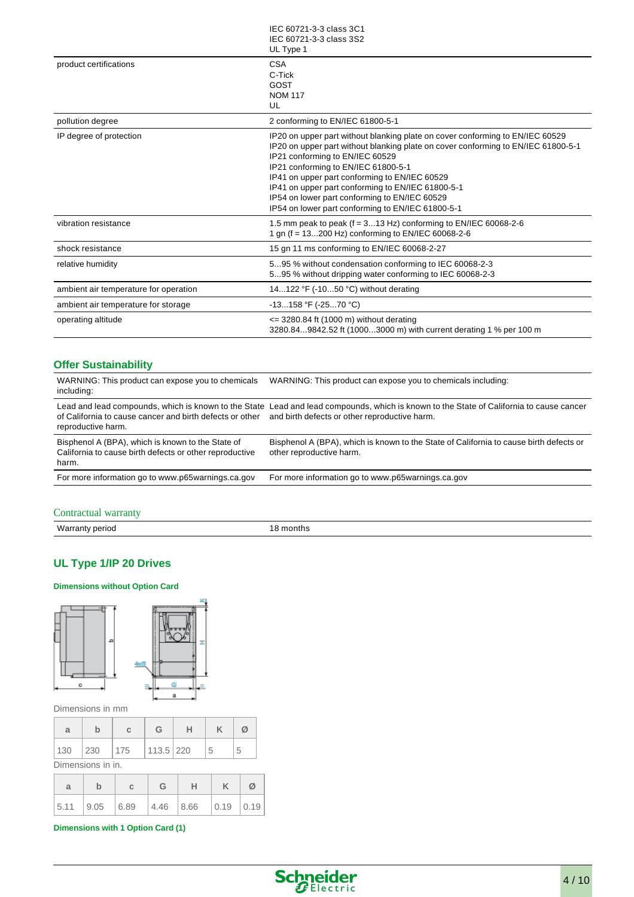|                                       | IEC 60721-3-3 class 3C1<br>IEC 60721-3-3 class 3S2<br>UL Type 1                                                                                                                                                                                                                                                                                                                                                                                          |
|---------------------------------------|----------------------------------------------------------------------------------------------------------------------------------------------------------------------------------------------------------------------------------------------------------------------------------------------------------------------------------------------------------------------------------------------------------------------------------------------------------|
| product certifications                | <b>CSA</b><br>C-Tick<br>GOST<br><b>NOM 117</b><br>UL                                                                                                                                                                                                                                                                                                                                                                                                     |
| pollution degree                      | 2 conforming to EN/IEC 61800-5-1                                                                                                                                                                                                                                                                                                                                                                                                                         |
| IP degree of protection               | IP20 on upper part without blanking plate on cover conforming to EN/IEC 60529<br>IP20 on upper part without blanking plate on cover conforming to EN/IEC 61800-5-1<br>IP21 conforming to EN/IEC 60529<br>IP21 conforming to EN/IEC 61800-5-1<br>IP41 on upper part conforming to EN/IEC 60529<br>IP41 on upper part conforming to EN/IEC 61800-5-1<br>IP54 on lower part conforming to EN/IEC 60529<br>IP54 on lower part conforming to EN/IEC 61800-5-1 |
| vibration resistance                  | 1.5 mm peak to peak (f = 313 Hz) conforming to EN/IEC 60068-2-6<br>1 gn (f = 13200 Hz) conforming to EN/IEC 60068-2-6                                                                                                                                                                                                                                                                                                                                    |
| shock resistance                      | 15 gn 11 ms conforming to EN/IEC 60068-2-27                                                                                                                                                                                                                                                                                                                                                                                                              |
| relative humidity                     | 595 % without condensation conforming to IEC 60068-2-3<br>595 % without dripping water conforming to IEC 60068-2-3                                                                                                                                                                                                                                                                                                                                       |
| ambient air temperature for operation | 14122 °F (-1050 °C) without derating                                                                                                                                                                                                                                                                                                                                                                                                                     |
| ambient air temperature for storage   | $-13158$ °F ( $-2570$ °C)                                                                                                                                                                                                                                                                                                                                                                                                                                |
| operating altitude                    | $\epsilon$ = 3280.84 ft (1000 m) without derating<br>3280.849842.52 ft (10003000 m) with current derating 1 % per 100 m                                                                                                                                                                                                                                                                                                                                  |

## **Offer Sustainability**

| WARNING: This product can expose you to chemicals<br>including:                                                       | WARNING: This product can expose you to chemicals including:                                                                                                                             |
|-----------------------------------------------------------------------------------------------------------------------|------------------------------------------------------------------------------------------------------------------------------------------------------------------------------------------|
| of California to cause cancer and birth defects or other<br>reproductive harm.                                        | Lead and lead compounds, which is known to the State Lead and lead compounds, which is known to the State of California to cause cancer<br>and birth defects or other reproductive harm. |
| Bisphenol A (BPA), which is known to the State of<br>California to cause birth defects or other reproductive<br>harm. | Bisphenol A (BPA), which is known to the State of California to cause birth defects or<br>other reproductive harm.                                                                       |
| For more information go to www.p65warnings.ca.gov                                                                     | For more information go to www.p65warnings.ca.gov                                                                                                                                        |

## Contractual warranty

| War<br>בוווו<br>. |
|-------------------|
|-------------------|

## **UL Type 1/IP 20 Drives**

#### **Dimensions without Option Card**



Dimensions in mm

| a                 |     |     | G         |  |   | Ø |
|-------------------|-----|-----|-----------|--|---|---|
| 130               | 230 | 175 | 113.5 220 |  | 5 | 5 |
| Dimensions in in. |     |     |           |  |   |   |

|  |  | $a$ b c G H K $\varnothing$ |  |
|--|--|-----------------------------|--|
|  |  |                             |  |

## **Dimensions with 1 Option Card (1)**

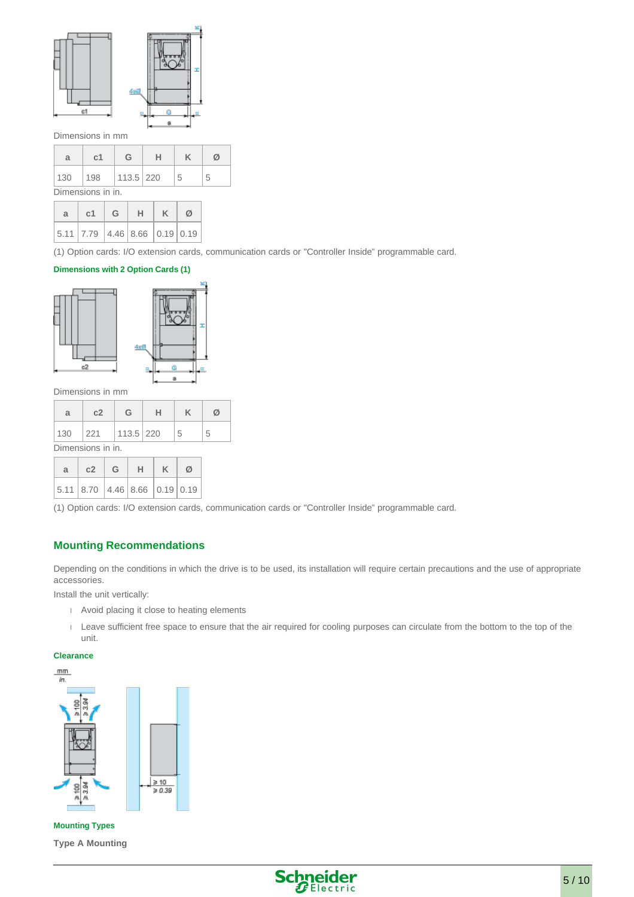

#### Dimensions in mm

| a                 | с1  | G         | н |   | Ø |  |
|-------------------|-----|-----------|---|---|---|--|
| 130               | 198 | 113.5 220 |   | 5 | 5 |  |
| Dimensions in in. |     |           |   |   |   |  |

| $a$   c1   G   H   K   Ø                                                              |  |  |
|---------------------------------------------------------------------------------------|--|--|
| $\vert$ 5.11 $\vert$ 7.79 $\vert$ 4.46 $\vert$ 8.66 $\vert$ 0.19 $\vert$ 0.19 $\vert$ |  |  |

(1) Option cards: I/O extension cards, communication cards or "Controller Inside" programmable card.

#### **Dimensions with 2 Option Cards (1)**



Dimensions in mm

| a                 | c2                    | G |  |   |   |  |  |  |  |
|-------------------|-----------------------|---|--|---|---|--|--|--|--|
| 130               | $ 221 $   113.5   220 |   |  | 5 | 5 |  |  |  |  |
| Dimensions in in. |                       |   |  |   |   |  |  |  |  |

| $a \mid c2 \mid G \mid H \mid K \mid \emptyset$ |  |  |  |
|-------------------------------------------------|--|--|--|
| 5.11 8.70 4.46 8.66 0.19 0.19                   |  |  |  |

(1) Option cards: I/O extension cards, communication cards or "Controller Inside" programmable card.

#### **Mounting Recommendations**

Depending on the conditions in which the drive is to be used, its installation will require certain precautions and the use of appropriate accessories.

Install the unit vertically:

- Avoid placing it close to heating elements
- Leave sufficient free space to ensure that the air required for cooling purposes can circulate from the bottom to the top of the unit.

#### **Clearance**





**Mounting Types Type A Mounting**

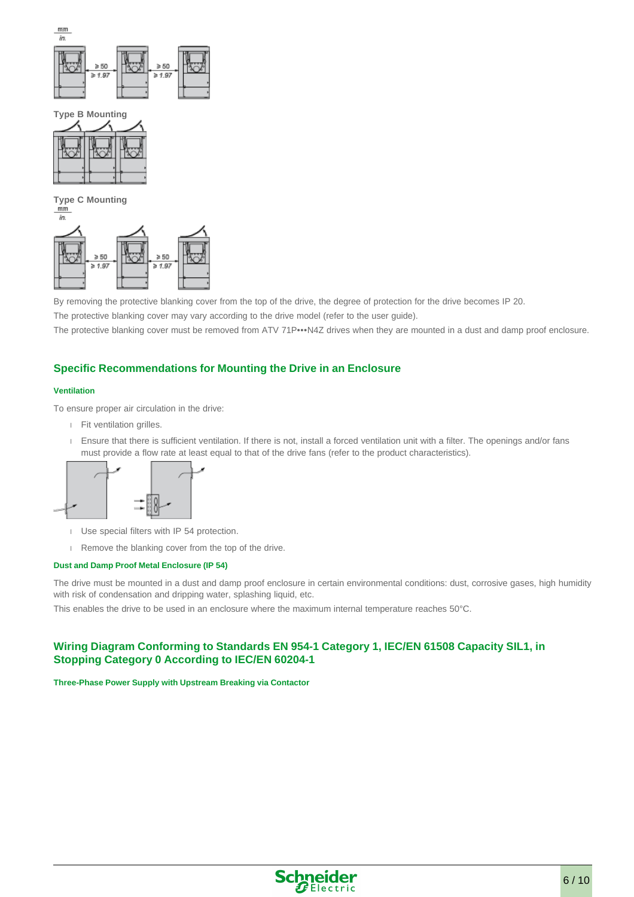

**Type B Mounting**



**Type C Mounting**



By removing the protective blanking cover from the top of the drive, the degree of protection for the drive becomes IP 20.

The protective blanking cover may vary according to the drive model (refer to the user guide).

The protective blanking cover must be removed from ATV 71P•••N4Z drives when they are mounted in a dust and damp proof enclosure.

## **Specific Recommendations for Mounting the Drive in an Enclosure**

#### **Ventilation**

To ensure proper air circulation in the drive:

- Fit ventilation grilles.
- Ensure that there is sufficient ventilation. If there is not, install a forced ventilation unit with a filter. The openings and/or fans must provide a flow rate at least equal to that of the drive fans (refer to the product characteristics).



- Use special filters with IP 54 protection.
- Remove the blanking cover from the top of the drive.

#### **Dust and Damp Proof Metal Enclosure (IP 54)**

The drive must be mounted in a dust and damp proof enclosure in certain environmental conditions: dust, corrosive gases, high humidity with risk of condensation and dripping water, splashing liquid, etc.

This enables the drive to be used in an enclosure where the maximum internal temperature reaches 50°C.

## **Wiring Diagram Conforming to Standards EN 954-1 Category 1, IEC/EN 61508 Capacity SIL1, in Stopping Category 0 According to IEC/EN 60204-1**

#### **Three-Phase Power Supply with Upstream Breaking via Contactor**

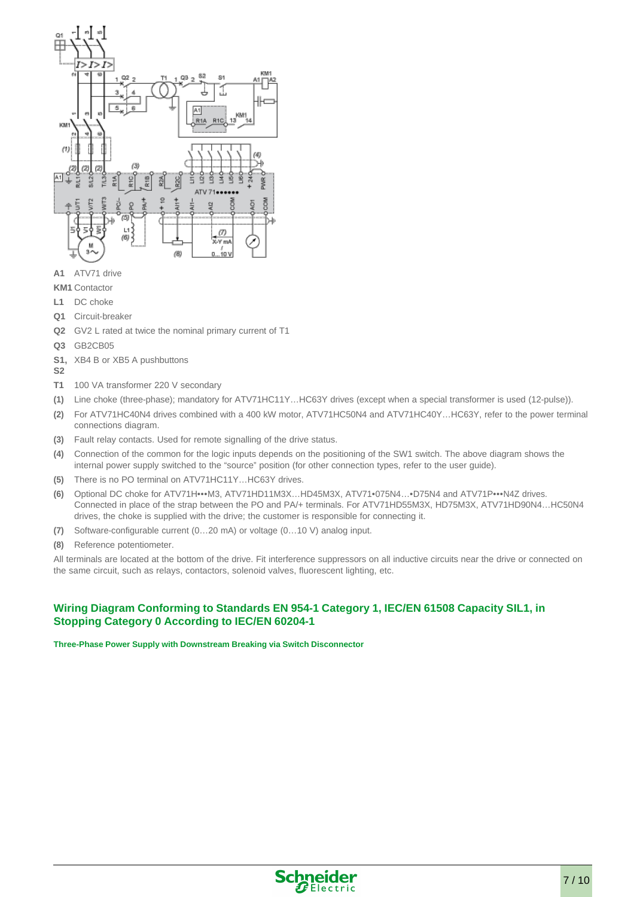

- **A1** ATV71 drive
- **KM1** Contactor
- **L1** DC choke
- **Q1** Circuit-breaker
- **Q2** GV2 L rated at twice the nominal primary current of T1
- **Q3** GB2CB05
- **S1,**  XB4 B or XB5 A pushbuttons
- **S2**
- **T1** 100 VA transformer 220 V secondary
- **(1)** Line choke (three-phase); mandatory for ATV71HC11Y…HC63Y drives (except when a special transformer is used (12-pulse)).
- **(2)** For ATV71HC40N4 drives combined with a 400 kW motor, ATV71HC50N4 and ATV71HC40Y…HC63Y, refer to the power terminal connections diagram.
- **(3)** Fault relay contacts. Used for remote signalling of the drive status.
- **(4)** Connection of the common for the logic inputs depends on the positioning of the SW1 switch. The above diagram shows the internal power supply switched to the "source" position (for other connection types, refer to the user guide).
- **(5)** There is no PO terminal on ATV71HC11Y…HC63Y drives.
- **(6)** Optional DC choke for ATV71H•••M3, ATV71HD11M3X…HD45M3X, ATV71•075N4…•D75N4 and ATV71P•••N4Z drives. Connected in place of the strap between the PO and PA/+ terminals. For ATV71HD55M3X, HD75M3X, ATV71HD90N4…HC50N4 drives, the choke is supplied with the drive; the customer is responsible for connecting it.
- **(7)** Software-configurable current (0…20 mA) or voltage (0…10 V) analog input.
- **(8)** Reference potentiometer.

All terminals are located at the bottom of the drive. Fit interference suppressors on all inductive circuits near the drive or connected on the same circuit, such as relays, contactors, solenoid valves, fluorescent lighting, etc.

## **Wiring Diagram Conforming to Standards EN 954-1 Category 1, IEC/EN 61508 Capacity SIL1, in Stopping Category 0 According to IEC/EN 60204-1**

**Three-Phase Power Supply with Downstream Breaking via Switch Disconnector**

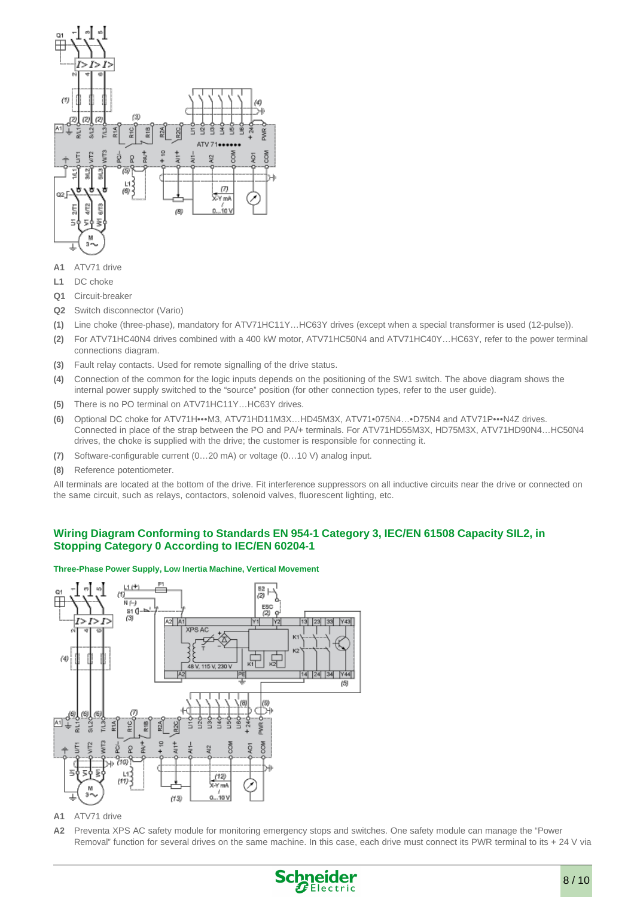

- **A1** ATV71 drive
- **L1** DC choke
- **Q1** Circuit-breaker
- **Q2** Switch disconnector (Vario)
- **(1)** Line choke (three-phase), mandatory for ATV71HC11Y…HC63Y drives (except when a special transformer is used (12-pulse)).
- **(2)** For ATV71HC40N4 drives combined with a 400 kW motor, ATV71HC50N4 and ATV71HC40Y…HC63Y, refer to the power terminal connections diagram.
- **(3)** Fault relay contacts. Used for remote signalling of the drive status.
- **(4)** Connection of the common for the logic inputs depends on the positioning of the SW1 switch. The above diagram shows the internal power supply switched to the "source" position (for other connection types, refer to the user guide).
- **(5)** There is no PO terminal on ATV71HC11Y…HC63Y drives.
- **(6)** Optional DC choke for ATV71H•••M3, ATV71HD11M3X…HD45M3X, ATV71•075N4…•D75N4 and ATV71P•••N4Z drives. Connected in place of the strap between the PO and PA/+ terminals. For ATV71HD55M3X, HD75M3X, ATV71HD90N4…HC50N4 drives, the choke is supplied with the drive; the customer is responsible for connecting it.
- **(7)** Software-configurable current (0…20 mA) or voltage (0…10 V) analog input.
- **(8)** Reference potentiometer.

All terminals are located at the bottom of the drive. Fit interference suppressors on all inductive circuits near the drive or connected on the same circuit, such as relays, contactors, solenoid valves, fluorescent lighting, etc.

## **Wiring Diagram Conforming to Standards EN 954-1 Category 3, IEC/EN 61508 Capacity SIL2, in Stopping Category 0 According to IEC/EN 60204-1**

#### **Three-Phase Power Supply, Low Inertia Machine, Vertical Movement**



**A1** ATV71 drive

**A2** Preventa XPS AC safety module for monitoring emergency stops and switches. One safety module can manage the "Power Removal" function for several drives on the same machine. In this case, each drive must connect its PWR terminal to its + 24 V via

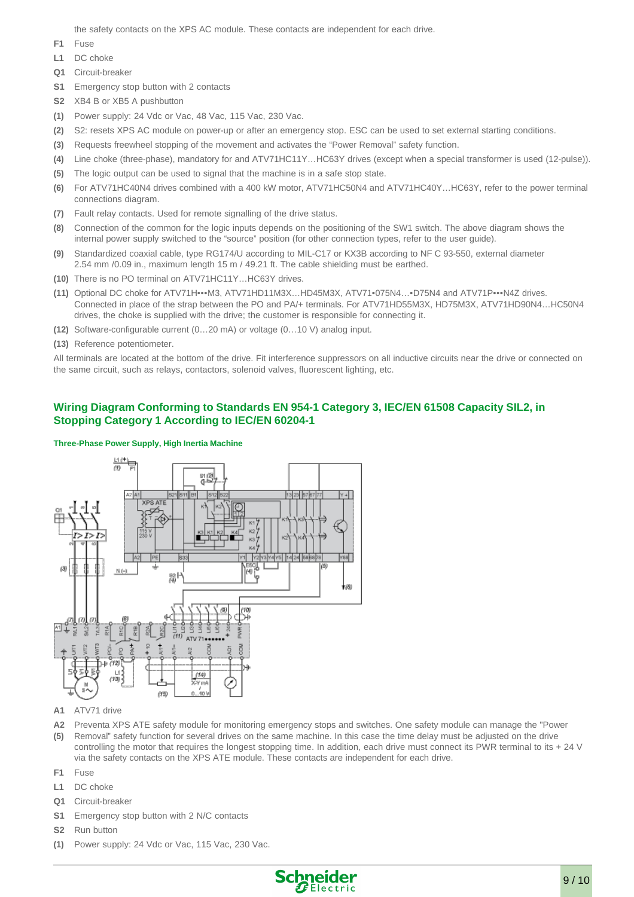the safety contacts on the XPS AC module. These contacts are independent for each drive.

- **F1** Fuse
- **L1** DC choke
- **Q1** Circuit-breaker
- **S1** Emergency stop button with 2 contacts
- **S2** XB4 B or XB5 A pushbutton
- **(1)** Power supply: 24 Vdc or Vac, 48 Vac, 115 Vac, 230 Vac.
- **(2)** S2: resets XPS AC module on power-up or after an emergency stop. ESC can be used to set external starting conditions.
- **(3)** Requests freewheel stopping of the movement and activates the "Power Removal" safety function.
- **(4)** Line choke (three-phase), mandatory for and ATV71HC11Y…HC63Y drives (except when a special transformer is used (12-pulse)).
- **(5)** The logic output can be used to signal that the machine is in a safe stop state.
- **(6)** For ATV71HC40N4 drives combined with a 400 kW motor, ATV71HC50N4 and ATV71HC40Y…HC63Y, refer to the power terminal connections diagram.
- **(7)** Fault relay contacts. Used for remote signalling of the drive status.
- **(8)** Connection of the common for the logic inputs depends on the positioning of the SW1 switch. The above diagram shows the internal power supply switched to the "source" position (for other connection types, refer to the user guide).
- **(9)** Standardized coaxial cable, type RG174/U according to MIL-C17 or KX3B according to NF C 93-550, external diameter 2.54 mm /0.09 in., maximum length 15 m / 49.21 ft. The cable shielding must be earthed.
- **(10)** There is no PO terminal on ATV71HC11Y…HC63Y drives.
- **(11)** Optional DC choke for ATV71H•••M3, ATV71HD11M3X…HD45M3X, ATV71•075N4…•D75N4 and ATV71P•••N4Z drives. Connected in place of the strap between the PO and PA/+ terminals. For ATV71HD55M3X, HD75M3X, ATV71HD90N4…HC50N4 drives, the choke is supplied with the drive; the customer is responsible for connecting it.
- **(12)** Software-configurable current (0…20 mA) or voltage (0…10 V) analog input.
- **(13)** Reference potentiometer.

All terminals are located at the bottom of the drive. Fit interference suppressors on all inductive circuits near the drive or connected on the same circuit, such as relays, contactors, solenoid valves, fluorescent lighting, etc.

## **Wiring Diagram Conforming to Standards EN 954-1 Category 3, IEC/EN 61508 Capacity SIL2, in Stopping Category 1 According to IEC/EN 60204-1**

#### **Three-Phase Power Supply, High Inertia Machine**



- **A1** ATV71 drive
- **A2 (5)** Preventa XPS ATE safety module for monitoring emergency stops and switches. One safety module can manage the "Power Removal" safety function for several drives on the same machine. In this case the time delay must be adjusted on the drive controlling the motor that requires the longest stopping time. In addition, each drive must connect its PWR terminal to its + 24 V via the safety contacts on the XPS ATE module. These contacts are independent for each drive.
- **F1** Fuse
- **L1** DC choke
- **Q1** Circuit-breaker
- **S1** Emergency stop button with 2 N/C contacts
- **S2** Run button
- **(1)** Power supply: 24 Vdc or Vac, 115 Vac, 230 Vac.

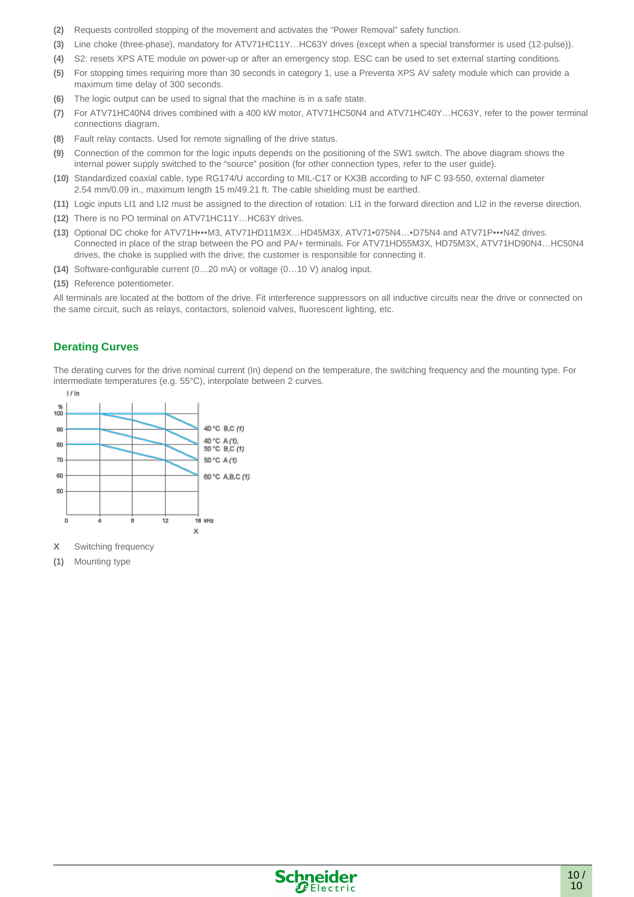- **(2)** Requests controlled stopping of the movement and activates the "Power Removal" safety function.
- **(3)** Line choke (three-phase), mandatory for ATV71HC11Y…HC63Y drives (except when a special transformer is used (12-pulse)).
- **(4)** S2: resets XPS ATE module on power-up or after an emergency stop. ESC can be used to set external starting conditions.
- **(5)** For stopping times requiring more than 30 seconds in category 1, use a Preventa XPS AV safety module which can provide a maximum time delay of 300 seconds.
- **(6)** The logic output can be used to signal that the machine is in a safe state.
- **(7)** For ATV71HC40N4 drives combined with a 400 kW motor, ATV71HC50N4 and ATV71HC40Y…HC63Y, refer to the power terminal connections diagram.
- **(8)** Fault relay contacts. Used for remote signalling of the drive status.
- **(9)** Connection of the common for the logic inputs depends on the positioning of the SW1 switch. The above diagram shows the internal power supply switched to the "source" position (for other connection types, refer to the user guide).
- **(10)** Standardized coaxial cable, type RG174/U according to MIL-C17 or KX3B according to NF C 93-550, external diameter 2.54 mm/0.09 in., maximum length 15 m/49.21 ft. The cable shielding must be earthed.
- **(11)** Logic inputs LI1 and LI2 must be assigned to the direction of rotation: LI1 in the forward direction and LI2 in the reverse direction.
- **(12)** There is no PO terminal on ATV71HC11Y…HC63Y drives.
- **(13)** Optional DC choke for ATV71H•••M3, ATV71HD11M3X…HD45M3X, ATV71•075N4…•D75N4 and ATV71P•••N4Z drives. Connected in place of the strap between the PO and PA/+ terminals. For ATV71HD55M3X, HD75M3X, ATV71HD90N4…HC50N4 drives, the choke is supplied with the drive; the customer is responsible for connecting it.
- **(14)** Software-configurable current (0…20 mA) or voltage (0…10 V) analog input.
- **(15)** Reference potentiometer.

All terminals are located at the bottom of the drive. Fit interference suppressors on all inductive circuits near the drive or connected on the same circuit, such as relays, contactors, solenoid valves, fluorescent lighting, etc.

#### **Derating Curves**

The derating curves for the drive nominal current (In) depend on the temperature, the switching frequency and the mounting type. For intermediate temperatures (e.g. 55°C), interpolate between 2 curves.



**(1)** Mounting type